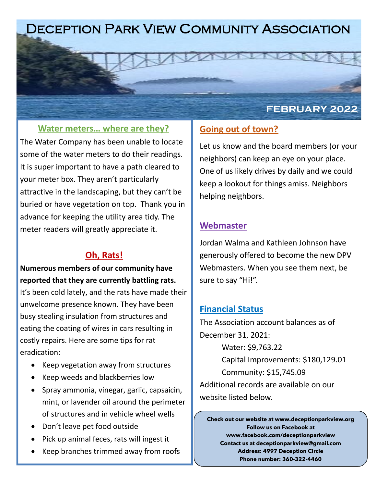# Deception Park View Community Association

#### **Water meters… where are they?**

The Water Company has been unable to locate some of the water meters to do their readings. It is super important to have a path cleared to your meter box. They aren't particularly attractive in the landscaping, but they can't be buried or have vegetation on top. Thank you in advance for keeping the utility area tidy. The meter readers will greatly appreciate it.

### **Oh, Rats!**

**Numerous members of our community have reported that they are currently battling rats.**  It's been cold lately, and the rats have made their unwelcome presence known. They have been busy stealing insulation from structures and eating the coating of wires in cars resulting in costly repairs. Here are some tips for rat eradication:

- Keep vegetation away from structures
- Keep weeds and blackberries low
- Spray ammonia, vinegar, garlic, capsaicin, mint, or lavender oil around the perimeter of structures and in vehicle wheel wells
- Don't leave pet food outside
- Pick up animal feces, rats will ingest it
- Keep branches trimmed away from roofs

### **Going out of town?**

Let us know and the board members (or your neighbors) can keep an eye on your place. One of us likely drives by daily and we could keep a lookout for things amiss. Neighbors helping neighbors.

**FEBRUARY 2022**

### **Webmaster**

Jordan Walma and Kathleen Johnson have generously offered to become the new DPV Webmasters. When you see them next, be sure to say "Hi!".

#### **Financial Status**

The Association account balances as of December 31, 2021:

Water: \$9,763.22 Capital Improvements: \$180,129.01 Community: \$15,745.09 Additional records are available on our

website listed below.

**Check out our website at www.deceptionparkview.org Follow us on Facebook at www.facebook.com/deceptionparkview Contact us at deceptionparkview@gmail.com Address: 4997 Deception Circle Phone number: 360-322-4460**